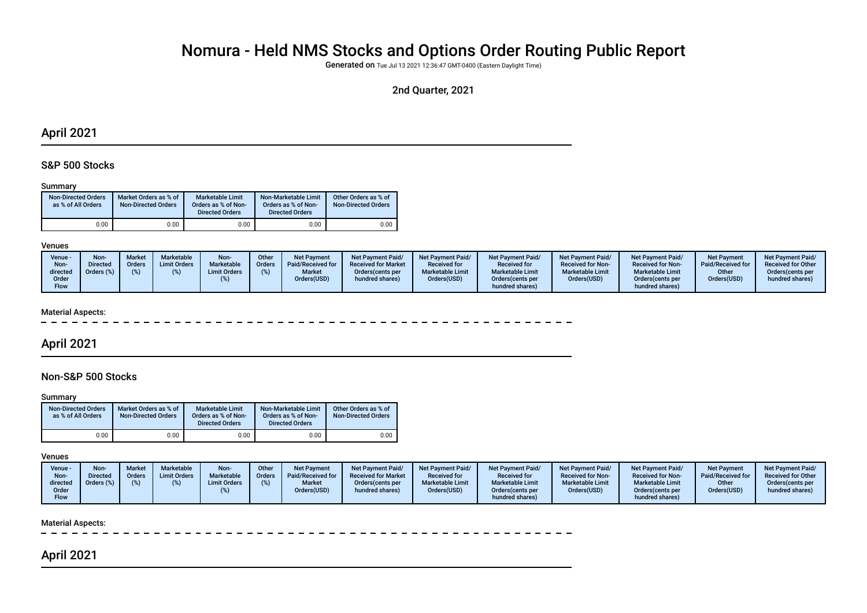# Nomura - Held NMS Stocks and Options Order Routing Public Report

Generated on Tue Jul 13 2021 12:36:47 GMT-0400 (Eastern Daylight Time)

## 2nd Quarter, 2021

## April 2021

## S&P 500 Stocks

#### Summary

| <b>Non-Directed Orders</b><br>as % of All Orders | Market Orders as % of<br><b>Non-Directed Orders</b> | Marketable Limit<br>Orders as % of Non-<br><b>Directed Orders</b> | Non-Marketable Limit<br>Orders as % of Non-<br><b>Directed Orders</b> | Other Orders as % of<br><b>Non-Directed Orders</b> |
|--------------------------------------------------|-----------------------------------------------------|-------------------------------------------------------------------|-----------------------------------------------------------------------|----------------------------------------------------|
| 0.00                                             | 0.00                                                | 0.00                                                              | 0.00                                                                  | 0.00                                               |

#### Venues

| Venue -<br>Non-<br>directed | Non-<br><b>Directed</b><br>Orders (%) | <b>Market</b><br><b>Orders</b> | <b>Marketable</b><br><b>Limit Orders</b> | Non-<br><b>Marketable</b><br><b>Limit Orders</b> | Other<br>Orders | <b>Net Payment</b><br>Paid/Received for<br><b>Market</b> | <b>Net Payment Paid/</b><br><b>Received for Market</b><br>Orders (cents per | <b>Net Payment Paid/</b><br><b>Received for</b><br><b>Marketable Limit</b> | <b>Net Payment Paid/</b><br><b>Received for</b><br><b>Marketable Limit</b> | Net Payment Paid/<br><b>Received for Non-</b><br><b>Marketable Limit</b> | Net Payment Paid/<br><b>Received for Non-</b><br><b>Marketable Limit</b> | <b>Net Payment</b><br>Paid/Received for<br>Other | <b>Net Payment Paid/</b><br><b>Received for Other</b><br>Orders cents per |
|-----------------------------|---------------------------------------|--------------------------------|------------------------------------------|--------------------------------------------------|-----------------|----------------------------------------------------------|-----------------------------------------------------------------------------|----------------------------------------------------------------------------|----------------------------------------------------------------------------|--------------------------------------------------------------------------|--------------------------------------------------------------------------|--------------------------------------------------|---------------------------------------------------------------------------|
| Order<br>Flow               |                                       |                                |                                          |                                                  |                 | Orders(USD)                                              | hundred shares)                                                             | Orders(USD)                                                                | Orders (cents per<br>hundred shares)                                       | Orders(USD)                                                              | Orders (cents per<br>hundred shares)                                     | Orders(USD)                                      | hundred shares)                                                           |

#### Material Aspects:

## April 2021

## Non-S&P 500 Stocks

#### **Summary**

| <b>Non-Directed Orders</b><br>as % of All Orders | Market Orders as % of<br><b>Non-Directed Orders</b> | Marketable Limit<br>Orders as % of Non-<br><b>Directed Orders</b> | Non-Marketable Limit<br>Orders as % of Non-<br><b>Directed Orders</b> | Other Orders as % of<br><b>Non-Directed Orders</b> |
|--------------------------------------------------|-----------------------------------------------------|-------------------------------------------------------------------|-----------------------------------------------------------------------|----------------------------------------------------|
| 0.00                                             | 0.00                                                | 0.00                                                              | 0.00                                                                  | 0.00                                               |

#### Venues

| Venue -<br>Non-<br>directed | <b>Non-</b><br>Directed | <b>Market</b><br>Orders<br>$\%$ | Marketable<br><b>Limit Orders</b> | Non-<br>Marketable<br><b>Limit Orders</b> | Other<br><b>Orders</b> | <b>Net Payment</b><br>Paid/Received for<br><b>Market</b> | <b>Net Payment Paid/</b><br><b>Received for Market</b><br>Orders (cents per | Net Payment Paid/<br><b>Received for</b><br><b>Marketable Limit</b> | Net Payment Paid/<br><b>Received for</b><br><b>Marketable Limit</b> | Net Payment Paid/<br><b>Received for Non-</b><br><b>Marketable Limit</b> | <b>Net Payment Paid/</b><br><b>Received for Non-</b><br><b>Marketable Limit</b> | <b>Net Payment</b><br>Paid/Received for<br>Other | <b>Net Payment Paid/</b><br><b>Received for Other</b><br>Orders(cents per |
|-----------------------------|-------------------------|---------------------------------|-----------------------------------|-------------------------------------------|------------------------|----------------------------------------------------------|-----------------------------------------------------------------------------|---------------------------------------------------------------------|---------------------------------------------------------------------|--------------------------------------------------------------------------|---------------------------------------------------------------------------------|--------------------------------------------------|---------------------------------------------------------------------------|
| Order<br>Flow               |                         |                                 |                                   |                                           |                        | Orders(USD)                                              | hundred shares)                                                             | Orders(USD)                                                         | Orders (cents per<br>hundred shares)                                | Orders(USD)                                                              | Orders (cents per<br>hundred shares)                                            | Orders(USD)                                      | hundred shares)                                                           |

#### Material Aspects:

# April 2021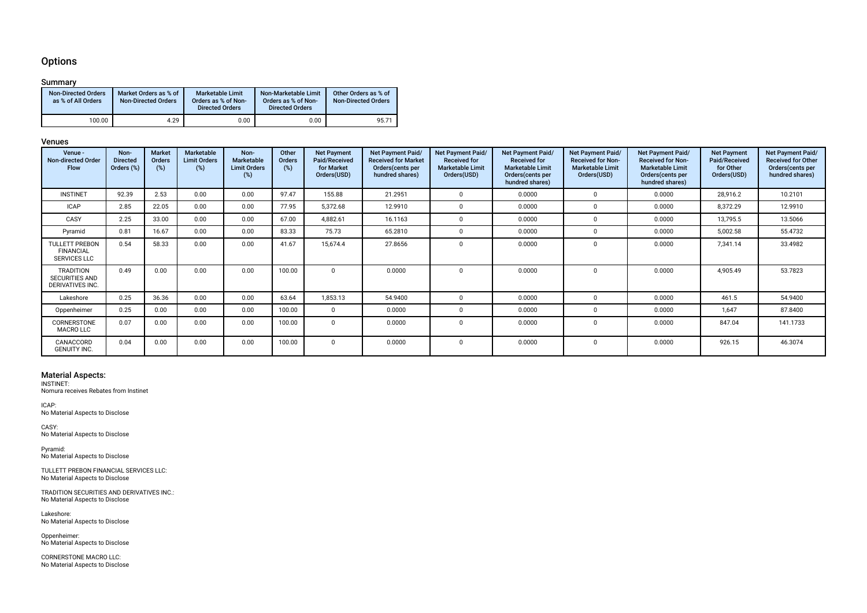### **Options**

### Summary

| <b>Non-Directed Orders</b><br>as % of All Orders | Market Orders as % of<br><b>Non-Directed Orders</b> | Marketable Limit<br>Orders as % of Non-<br><b>Directed Orders</b> | Non-Marketable Limit<br>Orders as % of Non-<br><b>Directed Orders</b> | Other Orders as % of<br><b>Non-Directed Orders</b> |
|--------------------------------------------------|-----------------------------------------------------|-------------------------------------------------------------------|-----------------------------------------------------------------------|----------------------------------------------------|
| 100.00                                           | 4.29                                                | 0.00                                                              | 0.00                                                                  | 95.71                                              |

#### Venues

| Venue -<br><b>Non-directed Order</b><br><b>Flow</b>              | Non-<br><b>Directed</b><br>Orders (%) | <b>Market</b><br><b>Orders</b><br>$(\%)$ | Marketable<br><b>Limit Orders</b><br>(%) | Non-<br>Marketable<br><b>Limit Orders</b><br>(%) | Other<br>Orders<br>(%) | <b>Net Payment</b><br>Paid/Received<br>for Market<br>Orders(USD) | Net Payment Paid/<br><b>Received for Market</b><br>Orders (cents per<br>hundred shares) | Net Payment Paid/<br><b>Received for</b><br><b>Marketable Limit</b><br>Orders(USD) | Net Payment Paid/<br><b>Received for</b><br><b>Marketable Limit</b><br>Orders(cents per<br>hundred shares) | <b>Net Payment Paid/</b><br><b>Received for Non-</b><br><b>Marketable Limit</b><br>Orders(USD) | Net Payment Paid/<br><b>Received for Non-</b><br><b>Marketable Limit</b><br>Orders(cents per<br>hundred shares) | <b>Net Payment</b><br>Paid/Received<br>for Other<br>Orders(USD) | <b>Net Payment Paid/</b><br>Received for Other<br>Orders (cents per<br>hundred shares) |
|------------------------------------------------------------------|---------------------------------------|------------------------------------------|------------------------------------------|--------------------------------------------------|------------------------|------------------------------------------------------------------|-----------------------------------------------------------------------------------------|------------------------------------------------------------------------------------|------------------------------------------------------------------------------------------------------------|------------------------------------------------------------------------------------------------|-----------------------------------------------------------------------------------------------------------------|-----------------------------------------------------------------|----------------------------------------------------------------------------------------|
| <b>INSTINET</b>                                                  | 92.39                                 | 2.53                                     | 0.00                                     | 0.00                                             | 97.47                  | 155.88                                                           | 21.2951                                                                                 | 0                                                                                  | 0.0000                                                                                                     | $\Omega$                                                                                       | 0.0000                                                                                                          | 28,916.2                                                        | 10.2101                                                                                |
| <b>ICAP</b>                                                      | 2.85                                  | 22.05                                    | 0.00                                     | 0.00                                             | 77.95                  | 5,372.68                                                         | 12.9910                                                                                 | <sup>n</sup>                                                                       | 0.0000                                                                                                     | $\Omega$                                                                                       | 0.0000                                                                                                          | 8,372.29                                                        | 12.9910                                                                                |
| CASY                                                             | 2.25                                  | 33.00                                    | 0.00                                     | 0.00                                             | 67.00                  | 4,882.61                                                         | 16.1163                                                                                 |                                                                                    | 0.0000                                                                                                     | $\Omega$                                                                                       | 0.0000                                                                                                          | 13,795.5                                                        | 13.5066                                                                                |
| Pyramid                                                          | 0.81                                  | 16.67                                    | 0.00                                     | 0.00                                             | 83.33                  | 75.73                                                            | 65.2810                                                                                 | $\Omega$                                                                           | 0.0000                                                                                                     | $\Omega$                                                                                       | 0.0000                                                                                                          | 5,002.58                                                        | 55.4732                                                                                |
| <b>TULLETT PREBON</b><br><b>FINANCIAL</b><br><b>SERVICES LLC</b> | 0.54                                  | 58.33                                    | 0.00                                     | 0.00                                             | 41.67                  | 15,674.4                                                         | 27.8656                                                                                 | $\Omega$                                                                           | 0.0000                                                                                                     | $\Omega$                                                                                       | 0.0000                                                                                                          | 7,341.14                                                        | 33.4982                                                                                |
| <b>TRADITION</b><br><b>SECURITIES AND</b><br>DERIVATIVES INC.    | 0.49                                  | 0.00                                     | 0.00                                     | 0.00                                             | 100.00                 | $\Omega$                                                         | 0.0000                                                                                  | $\Omega$                                                                           | 0.0000                                                                                                     | $\Omega$                                                                                       | 0.0000                                                                                                          | 4,905.49                                                        | 53.7823                                                                                |
| Lakeshore                                                        | 0.25                                  | 36.36                                    | 0.00                                     | 0.00                                             | 63.64                  | 1,853.13                                                         | 54.9400                                                                                 |                                                                                    | 0.0000                                                                                                     | $\Omega$                                                                                       | 0.0000                                                                                                          | 461.5                                                           | 54.9400                                                                                |
| Oppenheimer                                                      | 0.25                                  | 0.00                                     | 0.00                                     | 0.00                                             | 100.00                 | $\Omega$                                                         | 0.0000                                                                                  | $\Omega$                                                                           | 0.0000                                                                                                     | $\Omega$                                                                                       | 0.0000                                                                                                          | 1,647                                                           | 87.8400                                                                                |
| CORNERSTONE<br><b>MACRO LLC</b>                                  | 0.07                                  | 0.00                                     | 0.00                                     | 0.00                                             | 100.00                 | $\Omega$                                                         | 0.0000                                                                                  |                                                                                    | 0.0000                                                                                                     | $\Omega$                                                                                       | 0.0000                                                                                                          | 847.04                                                          | 141.1733                                                                               |
| CANACCORD<br><b>GENUITY INC.</b>                                 | 0.04                                  | 0.00                                     | 0.00                                     | 0.00                                             | 100.00                 |                                                                  | 0.0000                                                                                  | 0                                                                                  | 0.0000                                                                                                     | $\Omega$                                                                                       | 0.0000                                                                                                          | 926.15                                                          | 46.3074                                                                                |

# Material Aspects: INSTINET:

Nomura receives Rebates from Instinet

ICAP: No Material Aspects to Disclose

CASY: No Material Aspects to Disclose

Pyramid: No Material Aspects to Disclose

TULLETT PREBON FINANCIAL SERVICES LLC: No Material Aspects to Disclose

TRADITION SECURITIES AND DERIVATIVES INC.: No Material Aspects to Disclose

Lakeshore: No Material Aspects to Disclose

Oppenheimer: No Material Aspects to Disclose

CORNERSTONE MACRO LLC: No Material Aspects to Disclose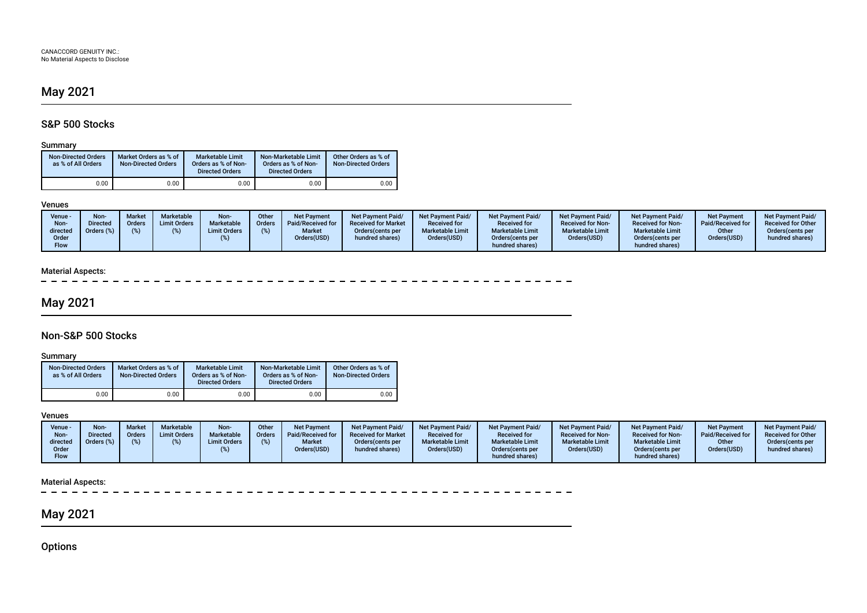# May 2021

## S&P 500 Stocks

### Summary

| <b>Non-Directed Orders</b><br>as % of All Orders | Market Orders as % of<br><b>Non-Directed Orders</b> | <b>Marketable Limit</b><br>Orders as % of Non-<br><b>Directed Orders</b> | Non-Marketable Limit<br>Orders as % of Non-<br><b>Directed Orders</b> | Other Orders as % of<br><b>Non-Directed Orders</b> |
|--------------------------------------------------|-----------------------------------------------------|--------------------------------------------------------------------------|-----------------------------------------------------------------------|----------------------------------------------------|
| $0.00\,$                                         | 0.00                                                | 0.00                                                                     | 0.00                                                                  | 0.00                                               |

#### Venues

## Material Aspects:

 $\overline{\phantom{a}}$ 

# May 2021

## Non-S&P 500 Stocks

## Summary

| <b>Non-Directed Orders</b><br>as % of All Orders | Market Orders as % of<br><b>Non-Directed Orders</b> | <b>Marketable Limit</b><br>Orders as % of Non-<br><b>Directed Orders</b> | Non-Marketable Limit<br>Orders as % of Non-<br><b>Directed Orders</b> | Other Orders as % of<br><b>Non-Directed Orders</b> |
|--------------------------------------------------|-----------------------------------------------------|--------------------------------------------------------------------------|-----------------------------------------------------------------------|----------------------------------------------------|
| 0.00                                             | 0.00                                                | 0.00                                                                     | 0.00                                                                  | 0.00                                               |

### Venues

| Venue -                          | Non             | Market | <b>Marketable</b>   | Non-                | Other         | <b>Net Payment</b>           | <b>Net Payment Paid/</b>             | <b>Net Payment Paid/</b>               | <b>Net Payment Paid/</b>                                        | <b>Net Payment Paid/</b>               | <b>Net Payment Paid/</b>                                        | <b>Net Payment</b>   | <b>Net Payment Paid/</b>            |
|----------------------------------|-----------------|--------|---------------------|---------------------|---------------|------------------------------|--------------------------------------|----------------------------------------|-----------------------------------------------------------------|----------------------------------------|-----------------------------------------------------------------|----------------------|-------------------------------------|
| Non-                             | <b>Virected</b> | Orders | <b>Limit Orders</b> | Marketable          | <b>Orders</b> | Paid/Received for            | <b>Received for Market</b>           | <b>Received for</b>                    | <b>Received for</b>                                             | <b>Received for Non-</b>               | <b>Received for Non-</b>                                        | Paid/Received for    | <b>Received for Other</b>           |
| directed<br>Order<br><b>Flow</b> | Orders (%)      |        |                     | <b>Limit Orders</b> |               | <b>Market</b><br>Orders(USD) | Orders (cents per<br>hundred shares) | <b>Marketable Limit</b><br>Orders(USD) | <b>Marketable Limit</b><br>Orders (cents per<br>hundred shares) | <b>Marketable Limit</b><br>Orders(USD) | <b>Marketable Limit</b><br>Orders (cents per<br>hundred shares) | Other<br>Orders(USD) | Orders(cents per<br>hundred shares) |

## Material Aspects:

 $\overline{\phantom{a}}$ 

# May 2021

**Options**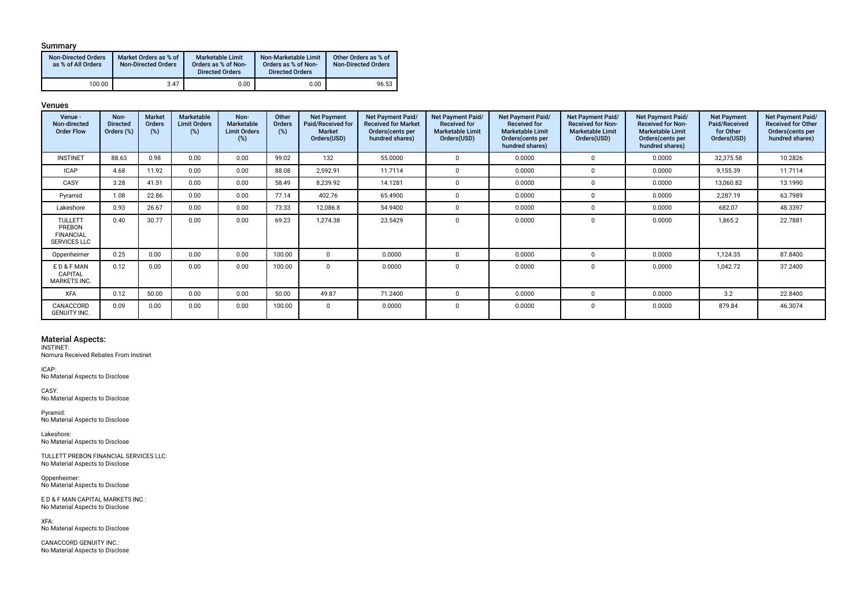### Summary

| <b>Non-Directed Orders</b><br>as % of All Orders | Market Orders as % of<br><b>Non-Directed Orders</b> | <b>Marketable Limit</b><br>Orders as % of Non-<br><b>Directed Orders</b> | Non-Marketable Limit<br>Orders as % of Non-<br><b>Directed Orders</b> | Other Orders as % of<br><b>Non-Directed Orders</b> |
|--------------------------------------------------|-----------------------------------------------------|--------------------------------------------------------------------------|-----------------------------------------------------------------------|----------------------------------------------------|
| 100.00                                           | 3.47                                                | 0.00                                                                     | 0.00                                                                  | 96.53                                              |

#### Venues

| Venue -<br>Non-directed<br><b>Order Flow</b>                        | Non-<br><b>Directed</b><br>Orders (%) | <b>Market</b><br><b>Orders</b><br>(%) | Marketable<br><b>Limit Orders</b><br>(%) | Non-<br>Marketable<br><b>Limit Orders</b><br>(%) | Other<br><b>Orders</b><br>(%) | <b>Net Payment</b><br>Paid/Received for<br><b>Market</b><br>Orders(USD) | <b>Net Payment Paid/</b><br><b>Received for Market</b><br>Orders(cents per<br>hundred shares) | Net Payment Paid/<br><b>Received for</b><br><b>Marketable Limit</b><br>Orders(USD) | <b>Net Payment Paid/</b><br><b>Received for</b><br><b>Marketable Limit</b><br>Orders(cents per<br>hundred shares) | Net Payment Paid/<br><b>Received for Non-</b><br><b>Marketable Limit</b><br>Orders(USD) | Net Payment Paid/<br><b>Received for Non-</b><br><b>Marketable Limit</b><br>Orders(cents per<br>hundred shares) | <b>Net Payment</b><br>Paid/Received<br>for Other<br>Orders(USD) | Net Payment Paid/<br><b>Received for Other</b><br>Orders(cents per<br>hundred shares) |
|---------------------------------------------------------------------|---------------------------------------|---------------------------------------|------------------------------------------|--------------------------------------------------|-------------------------------|-------------------------------------------------------------------------|-----------------------------------------------------------------------------------------------|------------------------------------------------------------------------------------|-------------------------------------------------------------------------------------------------------------------|-----------------------------------------------------------------------------------------|-----------------------------------------------------------------------------------------------------------------|-----------------------------------------------------------------|---------------------------------------------------------------------------------------|
| <b>INSTINET</b>                                                     | 88.63                                 | 0.98                                  | 0.00                                     | 0.00                                             | 99.02                         | 132                                                                     | 55.0000                                                                                       | $\Omega$                                                                           | 0.0000                                                                                                            | $\Omega$                                                                                | 0.0000                                                                                                          | 32,375.58                                                       | 10.2826                                                                               |
| <b>ICAP</b>                                                         | 4.68                                  | 11.92                                 | 0.00                                     | 0.00                                             | 88.08                         | 2,592.91                                                                | 11.7114                                                                                       | $\mathbf{0}$                                                                       | 0.0000                                                                                                            | $\Omega$                                                                                | 0.0000                                                                                                          | 9,155.39                                                        | 11.7114                                                                               |
| CASY                                                                | 3.28                                  | 41.51                                 | 0.00                                     | 0.00                                             | 58.49                         | 8,239.92                                                                | 14.1281                                                                                       | $\Omega$                                                                           | 0.0000                                                                                                            | $\Omega$                                                                                | 0.0000                                                                                                          | 13,060.82                                                       | 13.1990                                                                               |
| Pyramid                                                             | 1.08                                  | 22.86                                 | 0.00                                     | 0.00                                             | 77.14                         | 402.76                                                                  | 65.4900                                                                                       | $\Omega$                                                                           | 0.0000                                                                                                            | $\Omega$                                                                                | 0.0000                                                                                                          | 2,287.19                                                        | 63.7989                                                                               |
| Lakeshore                                                           | 0.93                                  | 26.67                                 | 0.00                                     | 0.00                                             | 73.33                         | 12,086.8                                                                | 54.9400                                                                                       | $\Omega$                                                                           | 0.0000                                                                                                            | $\Omega$                                                                                | 0.0000                                                                                                          | 682.07                                                          | 48.3397                                                                               |
| <b>TULLETT</b><br>PREBON<br><b>FINANCIAL</b><br><b>SERVICES LLC</b> | 0.40                                  | 30.77                                 | 0.00                                     | 0.00                                             | 69.23                         | 1,274.38                                                                | 23.5429                                                                                       | - 0                                                                                | 0.0000                                                                                                            | $\Omega$                                                                                | 0.0000                                                                                                          | 1,865.2                                                         | 22.7881                                                                               |
| Oppenheimer                                                         | 0.25                                  | 0.00                                  | 0.00                                     | 0.00                                             | 100.00                        | $\Omega$                                                                | 0.0000                                                                                        | $\Omega$                                                                           | 0.0000                                                                                                            | $\Omega$                                                                                | 0.0000                                                                                                          | 1,124.35                                                        | 87.8400                                                                               |
| ED&FMAN<br>CAPITAL<br><b>MARKETS INC.</b>                           | 0.12                                  | 0.00                                  | 0.00                                     | 0.00                                             | 100.00                        | $\Omega$                                                                | 0.0000                                                                                        | - 0                                                                                | 0.0000                                                                                                            | $\Omega$                                                                                | 0.0000                                                                                                          | 1,042.72                                                        | 37.2400                                                                               |
| <b>XFA</b>                                                          | 0.12                                  | 50.00                                 | 0.00                                     | 0.00                                             | 50.00                         | 49.87                                                                   | 71.2400                                                                                       | $\Omega$                                                                           | 0.0000                                                                                                            | $\Omega$                                                                                | 0.0000                                                                                                          | 3.2                                                             | 22.8400                                                                               |
| CANACCORD<br><b>GENUITY INC.</b>                                    | 0.09                                  | 0.00                                  | 0.00                                     | 0.00                                             | 100.00                        | $\mathbf 0$                                                             | 0.0000                                                                                        | - 0                                                                                | 0.0000                                                                                                            | $\Omega$                                                                                | 0.0000                                                                                                          | 879.84                                                          | 46.3074                                                                               |

# Material Aspects: INSTINET:

Nomura Received Rebates From Instinet

ICAP: No Material Aspects to Disclose

CASY: No Material Aspects to Disclose

Pyramid: No Material Aspects to Disclose

Lakeshore: No Material Aspects to Disclose

TULLETT PREBON FINANCIAL SERVICES LLC: No Material Aspects to Disclose

Oppenheimer: No Material Aspects to Disclose

E D & F MAN CAPITAL MARKETS INC.: No Material Aspects to Disclose

XFA: No Material Aspects to Disclose

CANACCORD GENUITY INC.: No Material Aspects to Disclose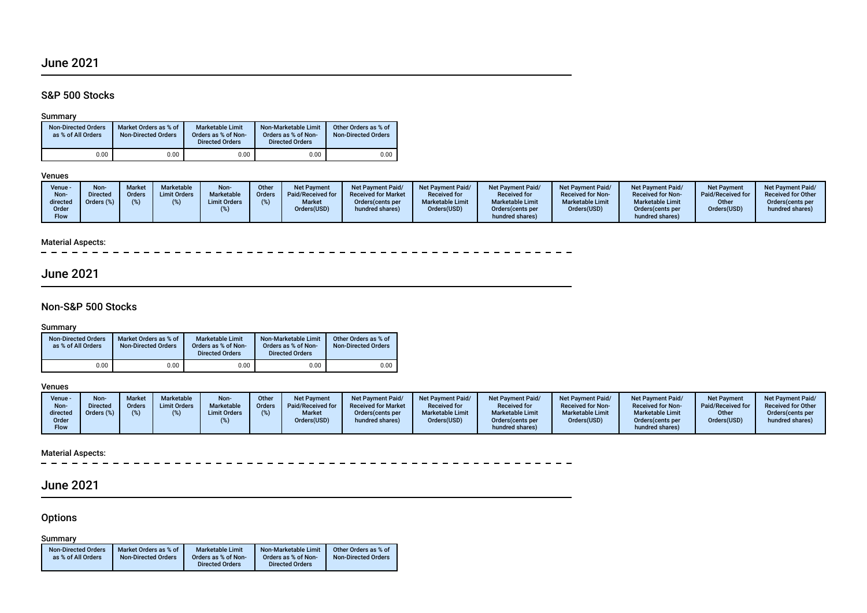# June 2021

## S&P 500 Stocks

### Summary

| <b>Non-Directed Orders</b><br>as % of All Orders | Market Orders as % of<br><b>Non-Directed Orders</b> | Marketable Limit<br>Orders as % of Non-<br><b>Directed Orders</b> | Non-Marketable Limit<br>Orders as % of Non-<br><b>Directed Orders</b> | Other Orders as % of<br><b>Non-Directed Orders</b> |
|--------------------------------------------------|-----------------------------------------------------|-------------------------------------------------------------------|-----------------------------------------------------------------------|----------------------------------------------------|
| $0.00\,$                                         | 0.00                                                | 0.00                                                              | 0.00                                                                  | 0.00                                               |

#### Venues

| Venue -<br>Non-<br>directed<br>Order<br>Flow | Non-<br><b>Directed</b><br>Orders (%) | <b>Market</b><br>Orders | Marketable<br><b>Limit Orders</b> | Non-<br>Marketable<br><b>Limit Orders</b> | Other<br><b>Orders</b> | <b>Net Payment</b><br>Paid/Received for<br><b>Market</b><br>Orders(USD) | <b>Net Payment Paid/</b><br><b>Received for Market</b><br>Orders (cents per<br>hundred shares) | Net Payment Paid/<br><b>Received for</b><br><b>Marketable Limit</b><br>Orders(USD) | <b>Net Payment Paid/</b><br><b>Received for</b><br><b>Marketable Limit</b><br>Orders (cents per<br>hundred shares) | Net Payment Paid/<br><b>Received for Non-</b><br><b>Marketable Limit</b><br>Orders(USD) | Net Payment Paid/<br><b>Received for Non-</b><br><b>Marketable Limit</b><br>Orders(cents per<br>hundred shares) | Net Payment<br>Paid/Received for<br>Other<br>Orders(USD) | <b>Net Payment Paid/</b><br><b>Received for Other</b><br>Orders (cents per<br>hundred shares) |
|----------------------------------------------|---------------------------------------|-------------------------|-----------------------------------|-------------------------------------------|------------------------|-------------------------------------------------------------------------|------------------------------------------------------------------------------------------------|------------------------------------------------------------------------------------|--------------------------------------------------------------------------------------------------------------------|-----------------------------------------------------------------------------------------|-----------------------------------------------------------------------------------------------------------------|----------------------------------------------------------|-----------------------------------------------------------------------------------------------|
|----------------------------------------------|---------------------------------------|-------------------------|-----------------------------------|-------------------------------------------|------------------------|-------------------------------------------------------------------------|------------------------------------------------------------------------------------------------|------------------------------------------------------------------------------------|--------------------------------------------------------------------------------------------------------------------|-----------------------------------------------------------------------------------------|-----------------------------------------------------------------------------------------------------------------|----------------------------------------------------------|-----------------------------------------------------------------------------------------------|

### Material Aspects:

 $\overline{a}$ 

# June 2021

### Non-S&P 500 Stocks

## **Summary**

| <b>Non-Directed Orders</b><br>as % of All Orders | Market Orders as % of<br><b>Non-Directed Orders</b> | <b>Marketable Limit</b><br>Orders as % of Non-<br><b>Directed Orders</b> | Non-Marketable Limit<br>Orders as % of Non-<br><b>Directed Orders</b> | Other Orders as % of<br><b>Non-Directed Orders</b> |  |  |
|--------------------------------------------------|-----------------------------------------------------|--------------------------------------------------------------------------|-----------------------------------------------------------------------|----------------------------------------------------|--|--|
| 0.00                                             | 0.00                                                | 0.00                                                                     | 0.00                                                                  | 0.00                                               |  |  |

#### Venues

| Venue -<br>Non-<br>directed | Non-<br>Directed<br>Orders (%) | <b>Market</b><br><b>Orders</b><br>$\frac{1}{2}$ | Marketable<br><b>Limit Orders</b> | Non-<br>Marketable<br><b>Limit Orders</b> | Other<br>Orders | <b>Net Payment</b><br>Paid/Received for<br><b>Market</b> | <b>Net Payment Paid/</b><br><b>Received for Market</b><br>Orders (cents per | <b>Net Payment Paid/</b><br><b>Received for</b><br><b>Marketable Limit</b> | <b>Net Payment Paid/</b><br><b>Received for</b><br><b>Marketable Limit</b> | <b>Net Payment Paid/</b><br><b>Received for Non-</b><br><b>Marketable Limit</b> | <b>Net Payment Paid/</b><br><b>Received for Non-</b><br><b>Marketable Limit</b> | <b>Net Payment</b><br>Paid/Received for<br>Other | <b>Net Payment Paid/</b><br><b>Received for Other</b><br>Orders(cents per |
|-----------------------------|--------------------------------|-------------------------------------------------|-----------------------------------|-------------------------------------------|-----------------|----------------------------------------------------------|-----------------------------------------------------------------------------|----------------------------------------------------------------------------|----------------------------------------------------------------------------|---------------------------------------------------------------------------------|---------------------------------------------------------------------------------|--------------------------------------------------|---------------------------------------------------------------------------|
| Order<br><b>Flow</b>        |                                |                                                 |                                   |                                           |                 | Orders(USD)                                              | hundred shares)                                                             | Orders(USD)                                                                | Orders (cents per<br>hundred shares)                                       | Orders(USD)                                                                     | Orders (cents per<br>hundred shares)                                            | Orders(USD)                                      | hundred shares)                                                           |

### Material Aspects:

 $\equiv$  $\frac{1}{2}$ ---------------

# June 2021

## **Options**

### **Summary**

| <b>Non-Directed Orders</b> | Market Orders as % of      | <b>Marketable Limit</b> | Non-Marketable Limit   | Other Orders as % of       |
|----------------------------|----------------------------|-------------------------|------------------------|----------------------------|
| as % of All Orders         | <b>Non-Directed Orders</b> | Orders as % of Non-     | Orders as % of Non-    | <b>Non-Directed Orders</b> |
|                            |                            | <b>Directed Orders</b>  | <b>Directed Orders</b> |                            |